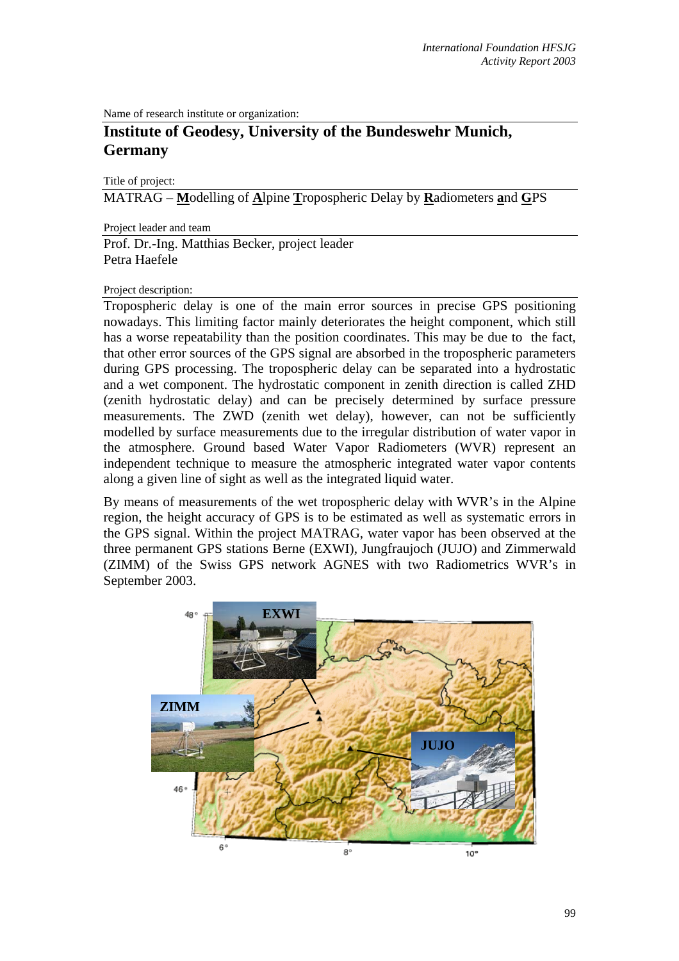Name of research institute or organization:

## **Institute of Geodesy, University of the Bundeswehr Munich, Germany**

Title of project:

MATRAG – **M**odelling of **A**lpine **T**ropospheric Delay by **R**adiometers **a**nd **G**PS

Project leader and team

Prof. Dr.-Ing. Matthias Becker, project leader Petra Haefele

## Project description:

Tropospheric delay is one of the main error sources in precise GPS positioning nowadays. This limiting factor mainly deteriorates the height component, which still has a worse repeatability than the position coordinates. This may be due to the fact, that other error sources of the GPS signal are absorbed in the tropospheric parameters during GPS processing. The tropospheric delay can be separated into a hydrostatic and a wet component. The hydrostatic component in zenith direction is called ZHD (zenith hydrostatic delay) and can be precisely determined by surface pressure measurements. The ZWD (zenith wet delay), however, can not be sufficiently modelled by surface measurements due to the irregular distribution of water vapor in the atmosphere. Ground based Water Vapor Radiometers (WVR) represent an independent technique to measure the atmospheric integrated water vapor contents along a given line of sight as well as the integrated liquid water.

By means of measurements of the wet tropospheric delay with WVR's in the Alpine region, the height accuracy of GPS is to be estimated as well as systematic errors in the GPS signal. Within the project MATRAG, water vapor has been observed at the three permanent GPS stations Berne (EXWI), Jungfraujoch (JUJO) and Zimmerwald (ZIMM) of the Swiss GPS network AGNES with two Radiometrics WVR's in September 2003.

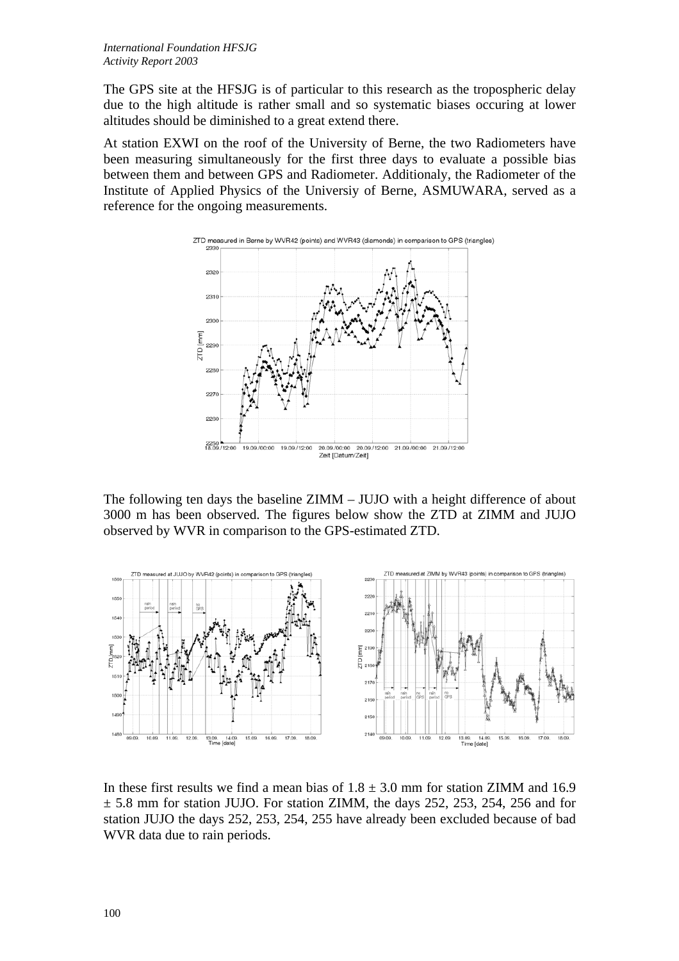The GPS site at the HFSJG is of particular to this research as the tropospheric delay due to the high altitude is rather small and so systematic biases occuring at lower altitudes should be diminished to a great extend there.

At station EXWI on the roof of the University of Berne, the two Radiometers have been measuring simultaneously for the first three days to evaluate a possible bias between them and between GPS and Radiometer. Additionaly, the Radiometer of the Institute of Applied Physics of the Universiy of Berne, ASMUWARA, served as a reference for the ongoing measurements.



The following ten days the baseline ZIMM – JUJO with a height difference of about 3000 m has been observed. The figures below show the ZTD at ZIMM and JUJO observed by WVR in comparison to the GPS-estimated ZTD.



In these first results we find a mean bias of  $1.8 \pm 3.0$  mm for station ZIMM and 16.9  $\pm$  5.8 mm for station JUJO. For station ZIMM, the days 252, 253, 254, 256 and for station JUJO the days 252, 253, 254, 255 have already been excluded because of bad WVR data due to rain periods.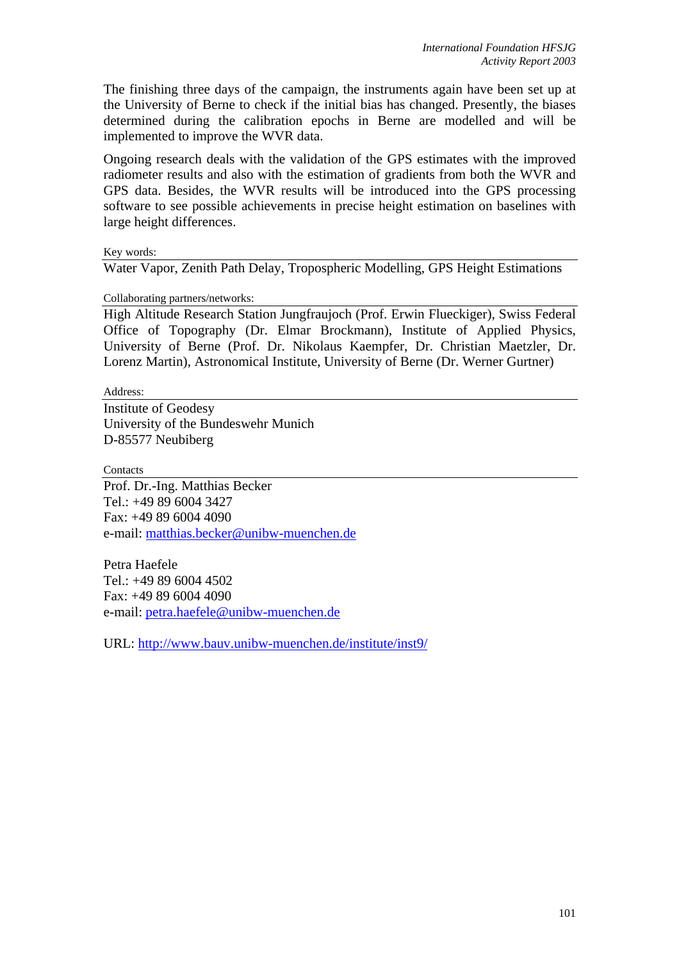The finishing three days of the campaign, the instruments again have been set up at the University of Berne to check if the initial bias has changed. Presently, the biases determined during the calibration epochs in Berne are modelled and will be implemented to improve the WVR data.

Ongoing research deals with the validation of the GPS estimates with the improved radiometer results and also with the estimation of gradients from both the WVR and GPS data. Besides, the WVR results will be introduced into the GPS processing software to see possible achievements in precise height estimation on baselines with large height differences.

Key words:

Water Vapor, Zenith Path Delay, Tropospheric Modelling, GPS Height Estimations

Collaborating partners/networks:

High Altitude Research Station Jungfraujoch (Prof. Erwin Flueckiger), Swiss Federal Office of Topography (Dr. Elmar Brockmann), Institute of Applied Physics, University of Berne (Prof. Dr. Nikolaus Kaempfer, Dr. Christian Maetzler, Dr. Lorenz Martin), Astronomical Institute, University of Berne (Dr. Werner Gurtner)

Address:

Institute of Geodesy University of the Bundeswehr Munich D-85577 Neubiberg

**Contacts** 

Prof. Dr.-Ing. Matthias Becker Tel.: +49 89 6004 3427 Fax: +49 89 6004 4090 e-mail: [matthias.becker@unibw-muenchen.de](mailto:matthias.becker@unibw-muenchen.de)

Petra Haefele Tel.: +49 89 6004 4502 Fax: +49 89 6004 4090 e-mail: [petra.haefele@unibw-muenchen.de](mailto:petra.haefele@unibw-muenchen.de)

URL:<http://www.bauv.unibw-muenchen.de/institute/inst9/>